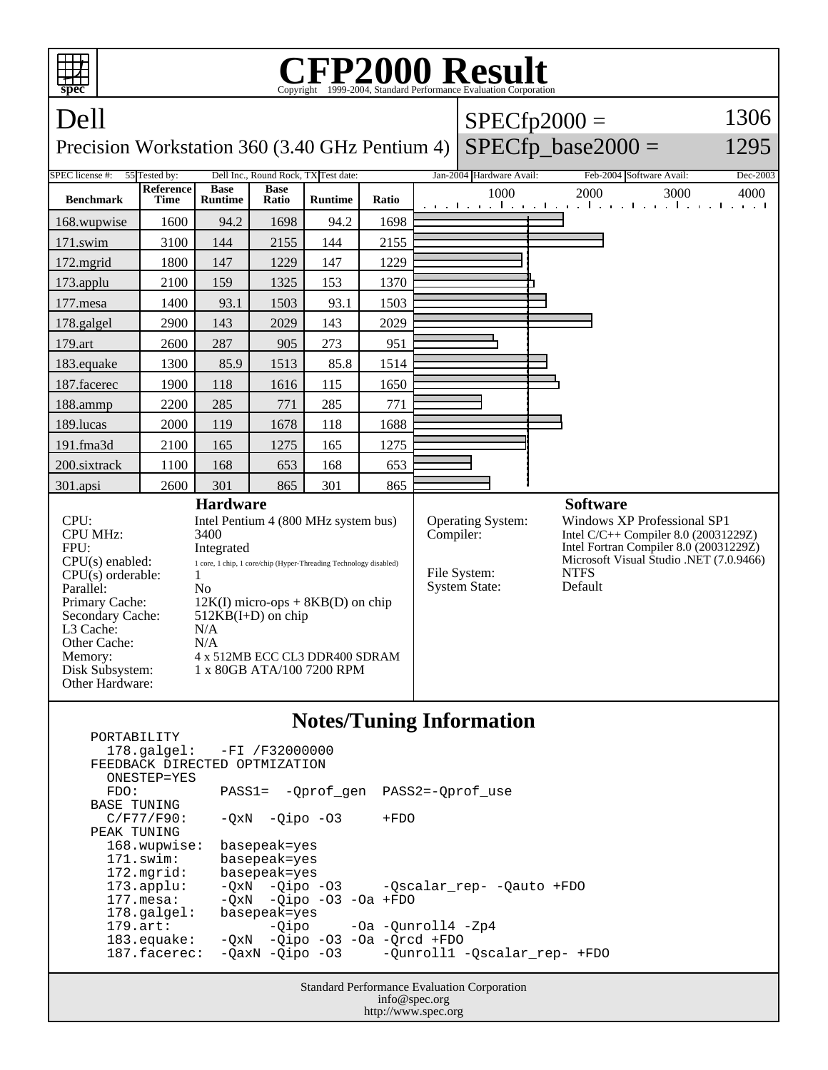

 ONESTEP=YES FDO: PASS1= -Qprof\_gen PASS2=-Qprof\_use BASE TUNING<br>C/F77/F90:  $-QxN$  -Qipo -O3 +FDO PEAK TUNING 168.wupwise: basepeak=yes 171.swim: basepeak=yes 172.mgrid: basepeak=yes<br>173.applu: -QxN -Qipo -03 173.applu: -QxN -Qipo -O3 -Qscalar\_rep- -Qauto +FDO 177.mesa: - QxN - Qipo - 03 - Oa + FDO<br>178.galgel: basepeak= yes 178.galgel: basepeak=yes<br>179.art: -Qipo -Qipo -Oa -Qunroll4 -Zp4 183.equake: -QxN -Qipo -O3 -Oa -Qrcd +FDO -Qunroll1 -Qscalar\_rep- +FDO

> Standard Performance Evaluation Corporation info@spec.org http://www.spec.org